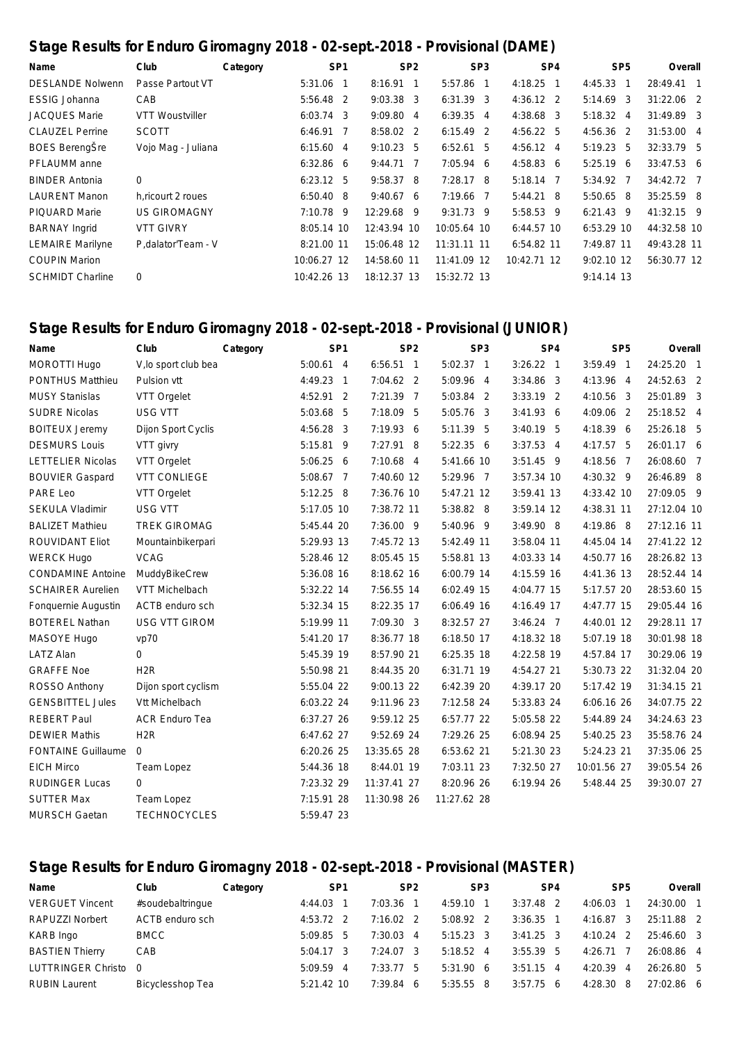## **Stage Results for Enduro Giromagny 2018 - 02-sept.-2018 - Provisional (DAME)**

| Name                    | Club                | Category |             | SP <sub>1</sub> | SP <sub>2</sub> |             | SP <sub>3</sub> |                   | SP <sub>4</sub> |             | SP <sub>5</sub> | Overall      |  |
|-------------------------|---------------------|----------|-------------|-----------------|-----------------|-------------|-----------------|-------------------|-----------------|-------------|-----------------|--------------|--|
| <b>DESLANDE Nolwenn</b> | Passe Partout VT    |          | $5:31.06$ 1 |                 | $8:16.91$ 1     | 5:57.86 1   |                 | $4:18.25$ 1       |                 | 4:45.33     | $\mathbf 1$     | 28:49.41 1   |  |
| <b>ESSIG Johanna</b>    | CAB                 |          | 5:56.48 2   |                 | $9:03.38$ 3     | $6:31.39$ 3 |                 | $4:36.12$ 2       |                 | 5:14.69     | -3              | 31:22.06 2   |  |
| <b>JACQUES Marie</b>    | VTT Woustviller     |          | $6:03.74$ 3 |                 | 9:09.80 4       | $6:39.35$ 4 |                 | $4:38.68$ 3       |                 | 5:18.32     | $\overline{4}$  | 31:49.89 3   |  |
| <b>CLAUZEL Perrine</b>  | <b>SCOTT</b>        |          | $6:46.91$ 7 |                 | 8:58.02 2       | $6:15.49$ 2 |                 | $4:56.22$ 5       |                 | 4:56.36     | -2              | 31:53.00 4   |  |
| <b>BOES</b> BerengŠre   | Vojo Mag - Juliana  |          | 6:15.604    |                 | $9:10.23$ 5     | $6:52.61$ 5 |                 | $4:56.12 \quad 4$ |                 | 5:19.23     | -5              | 32:33.79 5   |  |
| PFLAUMM anne            |                     |          | $6:32.86$ 6 |                 | $9:44.71$ 7     | $7:05.94$ 6 |                 | 4:58.836          |                 | 5:25.19     | 6               | $33:47.53$ 6 |  |
| <b>BINDER Antonia</b>   | $\mathbf 0$         |          | $6:23.12$ 5 |                 | $9:58.37$ 8     | $7:28.17$ 8 |                 | $5:18.14$ 7       |                 | 5:34.92 7   |                 | 34:42.72 7   |  |
| <b>LAURENT Manon</b>    | h.ricourt 2 roues   |          | $6:50.40$ 8 |                 | 9:40.676        | 7:19.66 7   |                 | $5:44.21$ 8       |                 | 5:50.65 8   |                 | 35:25.59 8   |  |
| <b>PIQUARD Marie</b>    | <b>US GIROMAGNY</b> |          | $7:10.78$ 9 |                 | 12:29.68 9      | $9:31.73$ 9 |                 | 5:58.53 9         |                 | $6:21.43$ 9 |                 | 41:32.15 9   |  |
| <b>BARNAY Ingrid</b>    | <b>VTT GIVRY</b>    |          | 8:05.14 10  |                 | 12:43.94 10     | 10:05.64 10 |                 | $6:44.57$ 10      |                 | 6:53.29 10  |                 | 44:32.58 10  |  |
| <b>LEMAIRE Marilyne</b> | P.dalator'Team - V  |          | 8:21.00 11  |                 | 15:06.48 12     | 11:31.11 11 |                 | 6:54.82 11        |                 | 7:49.87 11  |                 | 49:43.28 11  |  |
| <b>COUPIN Marion</b>    |                     |          | 10:06.27 12 |                 | 14:58.60 11     | 11:41.09 12 |                 | 10:42.71 12       |                 | 9:02.10 12  |                 | 56:30.77 12  |  |
| <b>SCHMIDT Charline</b> | $\mathbf 0$         |          | 10:42.26 13 |                 | 18:12.37 13     | 15:32.72 13 |                 |                   |                 | 9:14.14 13  |                 |              |  |

## **Stage Results for Enduro Giromagny 2018 - 02-sept.-2018 - Provisional (JUNIOR)**

| Name                      | Club                  | Category |             | SP <sub>1</sub> |             | SP <sub>2</sub> |             | SP <sub>3</sub> |             | SP <sub>4</sub> |             | SP <sub>5</sub> | Overall     |  |
|---------------------------|-----------------------|----------|-------------|-----------------|-------------|-----------------|-------------|-----------------|-------------|-----------------|-------------|-----------------|-------------|--|
| MOROTTI Hugo              | V, lo sport club bea  |          | $5:00.61$ 4 |                 | $6:56.51$ 1 |                 | 5:02.37 1   |                 | $3:26.22$ 1 |                 | $3:59.49$ 1 |                 | 24:25.20 1  |  |
| PONTHUS Matthieu          | Pulsion vtt           |          | 4:49.23     | $\overline{1}$  | 7:04.62 2   |                 | 5:09.96 4   |                 | 3:34.86 3   |                 | 4:13.96 4   |                 | 24:52.63 2  |  |
| <b>MUSY Stanislas</b>     | VTT Orgelet           |          | 4:52.91 2   |                 | 7:21.39 7   |                 | 5:03.84 2   |                 | $3:33.19$ 2 |                 | 4:10.56 3   |                 | 25:01.89 3  |  |
| <b>SUDRE Nicolas</b>      | USG VTT               |          | 5:03.68     | 5               | 7:18.09 5   |                 | 5:05.76 3   |                 | $3:41.93$ 6 |                 | 4:09.06 2   |                 | 25:18.52 4  |  |
| <b>BOITEUX Jeremy</b>     | Dijon Sport Cyclis    |          | 4:56.28     | 3               | 7:19.936    |                 | 5:11.39 5   |                 | $3:40.19$ 5 |                 | 4:18.39 6   |                 | 25:26.18 5  |  |
| <b>DESMURS Louis</b>      | VTT givry             |          | 5:15.81     | 9               | 7:27.91 8   |                 | 5:22.35 6   |                 | $3:37.53$ 4 |                 | 4:17.57 5   |                 | 26:01.17 6  |  |
| <b>LETTELIER Nicolas</b>  | VTT Orgelet           |          | $5:06.25$ 6 |                 | 7:10.68 4   |                 | 5:41.66 10  |                 | $3:51.45$ 9 |                 | 4:18.56 7   |                 | 26:08.60 7  |  |
| <b>BOUVIER Gaspard</b>    | <b>VTT CONLIEGE</b>   |          | 5:08.67 7   |                 | 7:40.60 12  |                 | 5:29.96 7   |                 | 3:57.34 10  |                 | 4:30.32 9   |                 | 26:46.89 8  |  |
| PARE Leo                  | VTT Orgelet           |          | 5:12.25 8   |                 | 7:36.76 10  |                 | 5:47.21 12  |                 | 3:59.41 13  |                 | 4:33.42 10  |                 | 27:09.05 9  |  |
| <b>SEKULA Vladimir</b>    | USG VTT               |          | 5:17.05 10  |                 | 7:38.72 11  |                 | 5:38.82 8   |                 | 3:59.14 12  |                 | 4:38.31 11  |                 | 27:12.04 10 |  |
| <b>BALIZET Mathieu</b>    | <b>TREK GIROMAG</b>   |          | 5:45.44 20  |                 | 7:36.00 9   |                 | 5:40.96 9   |                 | 3:49.90 8   |                 | 4:19.86 8   |                 | 27:12.16 11 |  |
| ROUVIDANT Eliot           | Mountainbikerpari     |          | 5:29.93 13  |                 | 7:45.72 13  |                 | 5:42.49 11  |                 | 3:58.04 11  |                 | 4:45.04 14  |                 | 27:41.22 12 |  |
| <b>WERCK Hugo</b>         | <b>VCAG</b>           |          | 5:28.46 12  |                 | 8:05.45 15  |                 | 5:58.81 13  |                 | 4:03.33 14  |                 | 4:50.77 16  |                 | 28:26.82 13 |  |
| <b>CONDAMINE Antoine</b>  | MuddyBikeCrew         |          | 5:36.08 16  |                 | 8:18.62 16  |                 | 6:00.79 14  |                 | 4:15.59 16  |                 | 4:41.36 13  |                 | 28:52.44 14 |  |
| <b>SCHAIRER Aurelien</b>  | VTT Michelbach        |          | 5:32.22 14  |                 | 7:56.55 14  |                 | 6:02.49 15  |                 | 4:04.77 15  |                 | 5:17.57 20  |                 | 28:53.60 15 |  |
| Fonquernie Augustin       | ACTB enduro sch       |          | 5:32.34 15  |                 | 8:22.35 17  |                 | 6:06.49 16  |                 | 4:16.49 17  |                 | 4:47.77 15  |                 | 29:05.44 16 |  |
| <b>BOTEREL Nathan</b>     | <b>USG VTT GIROM</b>  |          | 5:19.99 11  |                 | 7:09.30 3   |                 | 8:32.57 27  |                 | $3:46.24$ 7 |                 | 4:40.01 12  |                 | 29:28.11 17 |  |
| MASOYE Hugo               | vp70                  |          | 5:41.20 17  |                 | 8:36.77 18  |                 | 6:18.50 17  |                 | 4:18.32 18  |                 | 5:07.19 18  |                 | 30:01.98 18 |  |
| <b>LATZ Alan</b>          | $\mathbf{0}$          |          | 5:45.39 19  |                 | 8:57.90 21  |                 | 6:25.35 18  |                 | 4:22.58 19  |                 | 4:57.84 17  |                 | 30:29.06 19 |  |
| <b>GRAFFE Noe</b>         | H <sub>2</sub> R      |          | 5:50.98 21  |                 | 8:44.35 20  |                 | 6:31.71 19  |                 | 4:54.27 21  |                 | 5:30.73 22  |                 | 31:32.04 20 |  |
| ROSSO Anthony             | Dijon sport cyclism   |          | 5:55.04 22  |                 | 9:00.13 22  |                 | 6:42.39 20  |                 | 4:39.17 20  |                 | 5:17.42 19  |                 | 31:34.15 21 |  |
| <b>GENSBITTEL Jules</b>   | Vtt Michelbach        |          | 6:03.22 24  |                 | 9:11.96 23  |                 | 7:12.58 24  |                 | 5:33.83 24  |                 | 6:06.16 26  |                 | 34:07.75 22 |  |
| <b>REBERT Paul</b>        | <b>ACR Enduro Tea</b> |          | 6:37.27 26  |                 | 9:59.12 25  |                 | 6:57.77 22  |                 | 5:05.58 22  |                 | 5:44.89 24  |                 | 34:24.63 23 |  |
| <b>DEWIER Mathis</b>      | H <sub>2</sub> R      |          | 6:47.62 27  |                 | 9:52.69 24  |                 | 7:29.26 25  |                 | 6:08.94 25  |                 | 5:40.25 23  |                 | 35:58.76 24 |  |
| <b>FONTAINE Guillaume</b> | $\mathbf 0$           |          | 6:20.26 25  |                 | 13:35.65 28 |                 | 6:53.62 21  |                 | 5:21.30 23  |                 | 5:24.23 21  |                 | 37:35.06 25 |  |
| <b>EICH Mirco</b>         | Team Lopez            |          | 5:44.36 18  |                 | 8:44.01 19  |                 | 7:03.11 23  |                 | 7:32.50 27  |                 | 10:01.56 27 |                 | 39:05.54 26 |  |
| <b>RUDINGER Lucas</b>     | $\mathbf{0}$          |          | 7:23.32 29  |                 | 11:37.41 27 |                 | 8:20.96 26  |                 | 6:19.94 26  |                 | 5:48.44 25  |                 | 39:30.07 27 |  |
| <b>SUTTER Max</b>         | Team Lopez            |          | 7:15.91 28  |                 | 11:30.98 26 |                 | 11:27.62 28 |                 |             |                 |             |                 |             |  |
| <b>MURSCH Gaetan</b>      | <b>TECHNOCYCLES</b>   |          | 5:59.47 23  |                 |             |                 |             |                 |             |                 |             |                 |             |  |

## **Stage Results for Enduro Giromagny 2018 - 02-sept.-2018 - Provisional (MASTER)**

| Name                   | Club             | Category | SP <sub>1</sub> |              | SP <sub>2</sub> |   | SP <sub>3</sub> | SP <sub>4</sub> | SP <sub>5</sub> |     | Overall    |  |
|------------------------|------------------|----------|-----------------|--------------|-----------------|---|-----------------|-----------------|-----------------|-----|------------|--|
| <b>VERGUET Vincent</b> | #soudebaltringue |          | 4:44.03         |              | 7:03.36         |   | 4:59.10         | $3:37.48$ 2     | 4:06.03         |     | 24:30.00 1 |  |
| RAPUZZI Norbert        | ACTB enduro sch  |          | 4:53.72         |              | 7:16.02         |   | 5:08.92 2       | $3:36.35$ 1     | 4:16.87         | - 3 | 25:11.88 2 |  |
| KARB Ingo              | <b>BMCC</b>      |          | 5:09.85         | $\mathbf{b}$ | 7:30.03         | 4 | $5:15.23$ 3     | $3:41.25$ 3     | 4:10.24         |     | 25:46.60 3 |  |
| <b>BASTIEN Thierry</b> | CAB              |          | 5:04.17         |              | $7:24.07$ 3     |   | $5:18.52$ 4     | $3:55.39$ 5     | 4:26.71         |     | 26:08.86 4 |  |
| LUTTRINGER Christo 0   |                  |          | 5:09.59         | 4            | $7:33.77$ 5     |   | $5:31.90$ 6     | $3:51.15$ 4     | 4:20.39         | -4  | 26:26.80 5 |  |
| <b>RUBIN Laurent</b>   | Bicyclesshop Tea |          | 5:21.42 10      |              | 7:39.84         | 6 | $5:35.55$ 8     | $3:57.75$ 6     | $4:28.30$ 8     |     | 27:02.86 6 |  |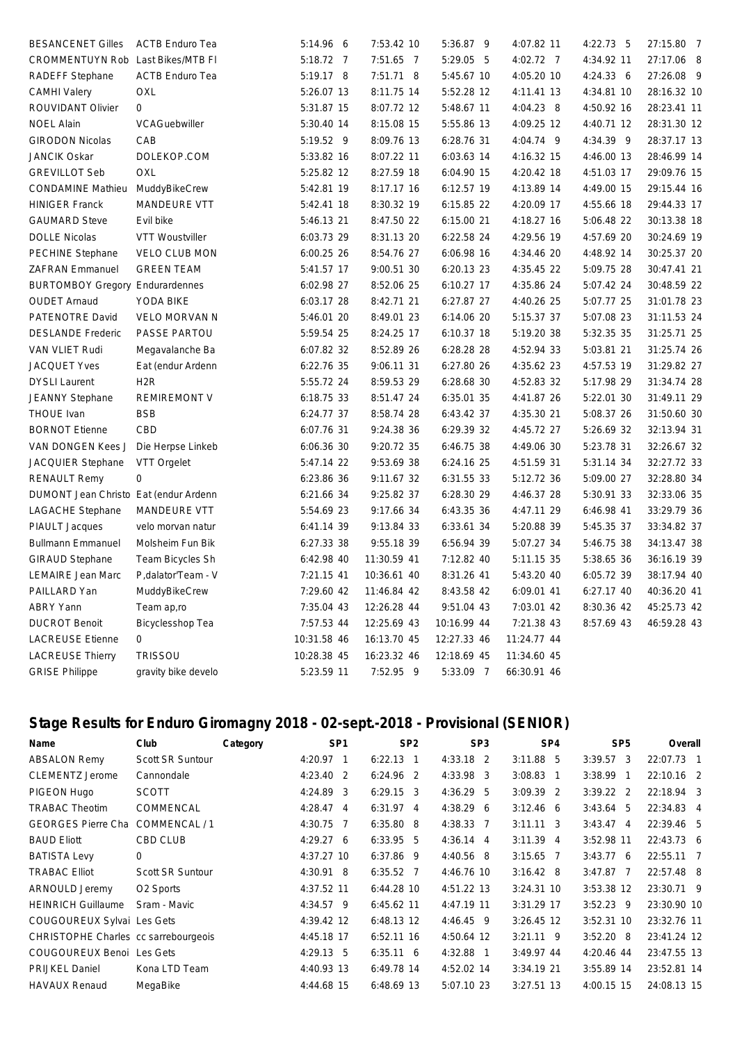| <b>BESANCENET Gilles</b>               | <b>ACTB Enduro Tea</b> | 5:14.96 6   | 7:53.42 10  | 5:36.87 9   | 4:07.82 11  | $4:22.73$ 5 | 27:15.80 7  |
|----------------------------------------|------------------------|-------------|-------------|-------------|-------------|-------------|-------------|
| CROMMENTUYN Rob Last Bikes/MTB FI      |                        | 5:18.72 7   | 7:51.65 7   | 5:29.05 5   | 4:02.72 7   | 4:34.92 11  | 27:17.06 8  |
| RADEFF Stephane                        | <b>ACTB Enduro Tea</b> | 5:19.17 8   | 7:51.71 8   | 5:45.67 10  | 4:05.20 10  | 4:24.33 6   | 27:26.08 9  |
| <b>CAMHI Valery</b>                    | OXL                    | 5:26.07 13  | 8:11.75 14  | 5:52.28 12  | 4:11.41 13  | 4:34.81 10  | 28:16.32 10 |
| ROUVIDANT Olivier                      | 0                      | 5:31.87 15  | 8:07.72 12  | 5:48.67 11  | 4:04.23 8   | 4:50.92 16  | 28:23.41 11 |
| <b>NOEL Alain</b>                      | VCAGuebwiller          | 5:30.40 14  | 8:15.08 15  | 5:55.86 13  | 4:09.25 12  | 4:40.71 12  | 28:31.30 12 |
| <b>GIRODON Nicolas</b>                 | CAB                    | 5:19.52 9   | 8:09.76 13  | 6:28.76 31  | 4:04.74 9   | 4:34.39 9   | 28:37.17 13 |
| <b>JANCIK Oskar</b>                    | DOLEKOP.COM            | 5:33.82 16  | 8:07.22 11  | 6:03.63 14  | 4:16.32 15  | 4:46.00 13  | 28:46.99 14 |
| <b>GREVILLOT Seb</b>                   | OXL                    | 5:25.82 12  | 8:27.59 18  | 6:04.90 15  | 4:20.42 18  | 4:51.03 17  | 29:09.76 15 |
| <b>CONDAMINE Mathieu</b>               | MuddyBikeCrew          | 5:42.81 19  | 8:17.17 16  | 6:12.57 19  | 4:13.89 14  | 4:49.00 15  | 29:15.44 16 |
| <b>HINIGER Franck</b>                  | MANDEURE VTT           | 5:42.41 18  | 8:30.32 19  | 6:15.85 22  | 4:20.09 17  | 4:55.66 18  | 29:44.33 17 |
| <b>GAUMARD Steve</b>                   | Evil bike              | 5:46.13 21  | 8:47.50 22  | 6:15.00 21  | 4:18.27 16  | 5:06.48 22  | 30:13.38 18 |
| <b>DOLLE Nicolas</b>                   | <b>VTT Woustviller</b> | 6:03.73 29  | 8:31.13 20  | 6:22.58 24  | 4:29.56 19  | 4:57.69 20  | 30:24.69 19 |
| PECHINE Stephane                       | <b>VELO CLUB MON</b>   | 6:00.25 26  | 8:54.76 27  | 6:06.98 16  | 4:34.46 20  | 4:48.92 14  | 30:25.37 20 |
| <b>ZAFRAN Emmanuel</b>                 | <b>GREEN TEAM</b>      | 5:41.57 17  | 9:00.51 30  | 6:20.13 23  | 4:35.45 22  | 5:09.75 28  | 30:47.41 21 |
| <b>BURTOMBOY Gregory Endurardennes</b> |                        | 6:02.98 27  | 8:52.06 25  | 6:10.27 17  | 4:35.86 24  | 5:07.42 24  | 30:48.59 22 |
| <b>OUDET Arnaud</b>                    | YODA BIKE              | 6:03.17 28  | 8:42.71 21  | 6:27.87 27  | 4:40.26 25  | 5:07.77 25  | 31:01.78 23 |
| PATENOTRE David                        | <b>VELO MORVAN N</b>   | 5:46.01 20  | 8:49.01 23  | 6:14.06 20  | 5:15.37 37  | 5:07.08 23  | 31:11.53 24 |
| <b>DESLANDE Frederic</b>               | PASSE PARTOU           | 5:59.54 25  | 8:24.25 17  | 6:10.37 18  | 5:19.20 38  | 5:32.35 35  | 31:25.71 25 |
| VAN VLIET Rudi                         | Megavalanche Ba        | 6:07.82 32  | 8:52.89 26  | 6:28.28 28  | 4:52.94 33  | 5:03.81 21  | 31:25.74 26 |
| <b>JACQUET Yves</b>                    | Eat (endur Ardenn      | 6:22.76 35  | 9:06.11 31  | 6:27.80 26  | 4:35.62 23  | 4:57.53 19  | 31:29.82 27 |
| <b>DYSLI Laurent</b>                   | H <sub>2</sub> R       | 5:55.72 24  | 8:59.53 29  | 6:28.68 30  | 4:52.83 32  | 5:17.98 29  | 31:34.74 28 |
| <b>JEANNY Stephane</b>                 | <b>REMIREMONT V</b>    | 6:18.75 33  | 8:51.47 24  | 6:35.01 35  | 4:41.87 26  | 5:22.01 30  | 31:49.11 29 |
| <b>THOUE Ivan</b>                      | <b>BSB</b>             | 6:24.77 37  | 8:58.74 28  | 6:43.42 37  | 4:35.30 21  | 5:08.37 26  | 31:50.60 30 |
| <b>BORNOT Etienne</b>                  | CBD                    | 6:07.76 31  | 9:24.38 36  | 6:29.39 32  | 4:45.72 27  | 5:26.69 32  | 32:13.94 31 |
| VAN DONGEN Kees J                      | Die Herpse Linkeb      | 6:06.36 30  | 9:20.72 35  | 6:46.75 38  | 4:49.06 30  | 5:23.78 31  | 32:26.67 32 |
| JACQUIER Stephane                      | VTT Orgelet            | 5:47.14 22  | 9:53.69 38  | 6:24.16 25  | 4:51.59 31  | 5:31.14 34  | 32:27.72 33 |
| <b>RENAULT Remy</b>                    | 0                      | 6:23.86 36  | 9:11.67 32  | 6:31.55 33  | 5:12.72 36  | 5:09.00 27  | 32:28.80 34 |
| DUMONT Jean Christo Eat (endur Ardenn  |                        | 6:21.66 34  | 9:25.82 37  | 6:28.30 29  | 4:46.37 28  | 5:30.91 33  | 32:33.06 35 |
| <b>LAGACHE Stephane</b>                | <b>MANDEURE VTT</b>    | 5:54.69 23  | 9:17.66 34  | 6:43.35 36  | 4:47.11 29  | 6:46.98 41  | 33:29.79 36 |
| PIAULT Jacques                         | velo morvan natur      | 6:41.14 39  | 9:13.84 33  | 6:33.61 34  | 5:20.88 39  | 5:45.35 37  | 33:34.82 37 |
| <b>Bullmann Emmanuel</b>               | Molsheim Fun Bik       | 6:27.33 38  | 9:55.18 39  | 6:56.94 39  | 5:07.27 34  | 5:46.75 38  | 34:13.47 38 |
| <b>GIRAUD Stephane</b>                 | Team Bicycles Sh       | 6:42.98 40  | 11:30.59 41 | 7:12.82 40  | 5:11.15 35  | 5:38.65 36  | 36:16.19 39 |
| <b>LEMAIRE Jean Marc</b>               | P,dalator'Team - V     | 7:21.15 41  | 10:36.61 40 | 8:31.26 41  | 5:43.20 40  | 6:05.72 39  | 38:17.94 40 |
| PAILLARD Yan                           | MuddyBikeCrew          | 7:29.60 42  | 11:46.84 42 | 8:43.58 42  | 6:09.01 41  | 6:27.17 40  | 40:36.20 41 |
| <b>ABRY Yann</b>                       | Team ap,ro             | 7:35.04 43  | 12:26.28 44 | 9:51.04 43  | 7:03.01 42  | 8:30.36 42  | 45:25.73 42 |
| <b>DUCROT Benoit</b>                   | Bicyclesshop Tea       | 7:57.53 44  | 12:25.69 43 | 10:16.99 44 | 7:21.38 43  | 8:57.69 43  | 46:59.28 43 |
| <b>LACREUSE Etienne</b>                | 0                      | 10:31.58 46 | 16:13.70 45 | 12:27.33 46 | 11:24.77 44 |             |             |
| <b>LACREUSE Thierry</b>                | <b>TRISSOU</b>         | 10:28.38 45 | 16:23.32 46 | 12:18.69 45 | 11:34.60 45 |             |             |
| <b>GRISE Philippe</b>                  | gravity bike develo    | 5:23.59 11  | 7:52.95 9   | 5:33.09 7   | 66:30.91 46 |             |             |
|                                        |                        |             |             |             |             |             |             |

## **Stage Results for Enduro Giromagny 2018 - 02-sept.-2018 - Provisional (SENIOR)**

| Name                                 | Club                  | Category |             | SP <sub>1</sub> |              | SP <sub>2</sub> |             | SP <sub>3</sub> |              | SP <sub>4</sub> |             | SP <sub>5</sub> | Overall     |  |
|--------------------------------------|-----------------------|----------|-------------|-----------------|--------------|-----------------|-------------|-----------------|--------------|-----------------|-------------|-----------------|-------------|--|
| <b>ABSALON Remy</b>                  | Scott SR Suntour      |          | $4:20.97$ 1 |                 | $6:22.13$ 1  |                 | 4:33.18 2   |                 | $3:11.88$ 5  |                 | $3:39.57$ 3 |                 | 22:07.73 1  |  |
| <b>CLEMENTZ Jerome</b>               | Cannondale            |          | $4:23.40$ 2 |                 | $6:24.96$ 2  |                 | 4:33.98 3   |                 | $3:08.83$ 1  |                 | 3:38.99 1   |                 | 22:10.16 2  |  |
| PIGEON Hugo                          | <b>SCOTT</b>          |          | 4:24.89 3   |                 | $6:29.15$ 3  |                 | $4:36.29$ 5 |                 | $3:09.39$ 2  |                 | $3:39.22$ 2 |                 | 22:18.94 3  |  |
| <b>TRABAC Theotim</b>                | COMMENCAL             |          | 4:28.47     | 4               | $6:31.97$ 4  |                 | $4:38.29$ 6 |                 | $3:12.46$ 6  |                 | $3:43.64$ 5 |                 | 22:34.83 4  |  |
| <b>GEORGES Pierre Cha</b>            | COMMENCAL / 1         |          | 4:30.75 7   |                 | $6:35.80$ 8  |                 | 4:38.33 7   |                 | $3:11.11$ 3  |                 | $3:43.47$ 4 |                 | 22:39.46 5  |  |
| <b>BAUD Eliott</b>                   | CBD CLUB              |          | 4:29.276    |                 | $6:33.95$ 5  |                 | $4:36.14$ 4 |                 | $3:11.39$ 4  |                 | 3:52.98 11  |                 | 22:43.73 6  |  |
| <b>BATISTA Levy</b>                  | $\Omega$              |          | 4:37.27 10  |                 | $6:37.86$ 9  |                 | 4:40.56 8   |                 | $3:15.65$ 7  |                 | 3:43.776    |                 | 22:55.11 7  |  |
| <b>TRABAC Elliot</b>                 | Scott SR Suntour      |          | $4:30.91$ 8 |                 | $6:35.52$ 7  |                 | 4:46.76 10  |                 | $3:16.42$ 8  |                 | $3:47.87$ 7 |                 | 22:57.48 8  |  |
| ARNOULD Jeremy                       | O <sub>2</sub> Sports |          | 4:37.52 11  |                 | 6:44.28 10   |                 | 4:51.22 13  |                 | 3:24.31 10   |                 | 3:53.38 12  |                 | 23:30.71 9  |  |
| <b>HEINRICH Guillaume</b>            | Sram - Mavic          |          | 4:34.57 9   |                 | $6:45.62$ 11 |                 | 4:47.19 11  |                 | 3:31.29 17   |                 | $3:52.23$ 9 |                 | 23:30.90 10 |  |
| COUGOUREUX Sylvai Les Gets           |                       |          | 4:39.42 12  |                 | 6:48.13 12   |                 | 4:46.45 9   |                 | $3:26.45$ 12 |                 | 3:52.31 10  |                 | 23:32.76 11 |  |
| CHRISTOPHE Charles cc sarrebourgeois |                       |          | 4:45.18 17  |                 | $6:52.11$ 16 |                 | 4:50.64 12  |                 | $3:21.11$ 9  |                 | $3:52.20$ 8 |                 | 23:41.24 12 |  |
| COUGOUREUX Benoi Les Gets            |                       |          | $4:29.13$ 5 |                 | $6:35.11$ 6  |                 | 4:32.88 1   |                 | $3:49.97$ 44 |                 | 4:20.46 44  |                 | 23:47.55 13 |  |
| <b>PRIJKEL Daniel</b>                | Kona LTD Team         |          | 4:40.93 13  |                 | 6:49.78 14   |                 | 4:52.02 14  |                 | 3:34.19 21   |                 | 3:55.89 14  |                 | 23:52.81 14 |  |
| <b>HAVAUX Renaud</b>                 | MegaBike              |          | 4:44.68 15  |                 | 6:48.69 13   |                 | 5:07.10 23  |                 | $3:27.51$ 13 |                 | 4:00.15 15  |                 | 24:08.13 15 |  |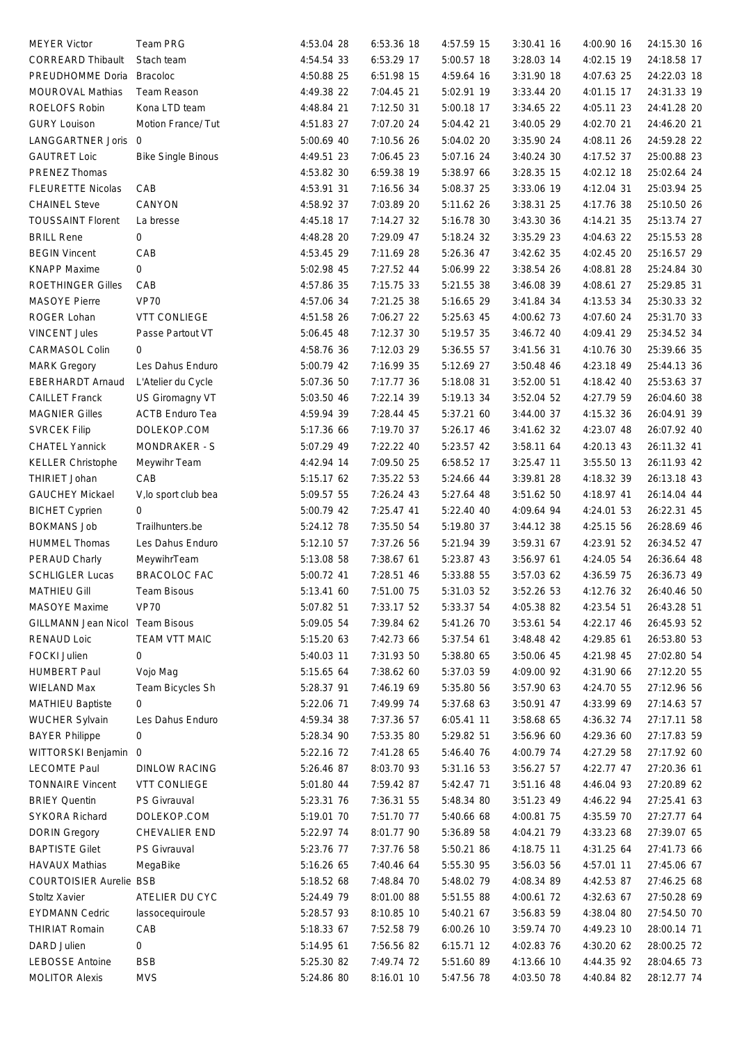| <b>MEYER Victor</b>                         | Team PRG                  | 4:53.04 28               | 6:53.36 18               | 4:57.59 15 | 3:30.41 16 | 4:00.90 16               | 24:15.30 16 |
|---------------------------------------------|---------------------------|--------------------------|--------------------------|------------|------------|--------------------------|-------------|
| <b>CORREARD Thibault</b>                    | Stach team                | 4:54.54 33               | 6:53.29 17               | 5:00.57 18 | 3:28.03 14 | 4:02.15 19               | 24:18.58 17 |
| PREUDHOMME Doria                            | <b>Bracoloc</b>           | 4:50.88 25               | 6:51.98 15               | 4:59.64 16 | 3:31.90 18 | 4:07.63 25               | 24:22.03 18 |
| MOUROVAL Mathias                            | Team Reason               | 4:49.38 22               | 7:04.45 21               | 5:02.91 19 | 3:33.44 20 | 4:01.15 17               | 24:31.33 19 |
| ROELOFS Robin                               | Kona LTD team             | 4:48.84 21               | 7:12.50 31               | 5:00.18 17 | 3:34.65 22 | 4:05.11 23               | 24:41.28 20 |
| <b>GURY Louison</b>                         | Motion France/ Tut        | 4:51.83 27               | 7:07.20 24               | 5:04.42 21 | 3:40.05 29 | 4:02.70 21               | 24:46.20 21 |
| LANGGARTNER Joris 0                         |                           | 5:00.69 40               | 7:10.56 26               | 5:04.02 20 | 3:35.90 24 | 4:08.11 26               | 24:59.28 22 |
|                                             |                           |                          | 7:06.45 23               | 5:07.16 24 |            | 4:17.52 37               |             |
| <b>GAUTRET Loic</b>                         | <b>Bike Single Binous</b> | 4:49.51 23               |                          |            | 3:40.24 30 |                          | 25:00.88 23 |
| PRENEZ Thomas                               |                           | 4:53.82 30               | 6:59.38 19               | 5:38.97 66 | 3:28.35 15 | 4:02.12 18               | 25:02.64 24 |
| <b>FLEURETTE Nicolas</b>                    | CAB                       | 4:53.91 31               | 7:16.56 34               | 5:08.37 25 | 3:33.06 19 | 4:12.04 31               | 25:03.94 25 |
| <b>CHAINEL Steve</b>                        | CANYON                    | 4:58.92 37               | 7:03.89 20               | 5:11.62 26 | 3:38.31 25 | 4:17.76 38               | 25:10.50 26 |
| <b>TOUSSAINT Florent</b>                    | La bresse                 | 4:45.18 17               | 7:14.27 32               | 5:16.78 30 | 3:43.30 36 | 4:14.21 35               | 25:13.74 27 |
| <b>BRILL Rene</b>                           | 0                         | 4:48.28 20               | 7:29.09 47               | 5:18.24 32 | 3:35.29 23 | 4:04.63 22               | 25:15.53 28 |
| <b>BEGIN Vincent</b>                        | CAB                       | 4:53.45 29               | 7:11.69 28               | 5:26.36 47 | 3:42.62 35 | 4:02.45 20               | 25:16.57 29 |
| <b>KNAPP Maxime</b>                         | 0                         | 5:02.98 45               | 7:27.52 44               | 5:06.99 22 | 3:38.54 26 | 4:08.81 28               | 25:24.84 30 |
| <b>ROETHINGER Gilles</b>                    | CAB                       | 4:57.86 35               | 7:15.75 33               | 5:21.55 38 | 3:46.08 39 | 4:08.61 27               | 25:29.85 31 |
| <b>MASOYE Pierre</b>                        | <b>VP70</b>               | 4:57.06 34               | 7:21.25 38               | 5:16.65 29 | 3:41.84 34 | 4:13.53 34               | 25:30.33 32 |
| ROGER Lohan                                 | <b>VTT CONLIEGE</b>       | 4:51.58 26               | 7:06.27 22               | 5:25.63 45 | 4:00.62 73 | 4:07.60 24               | 25:31.70 33 |
| <b>VINCENT Jules</b>                        | Passe Partout VT          | 5:06.45 48               | 7:12.37 30               | 5:19.57 35 | 3:46.72 40 | 4:09.41 29               | 25:34.52 34 |
| CARMASOL Colin                              | 0                         | 4:58.76 36               | 7:12.03 29               | 5:36.55 57 | 3:41.56 31 | 4:10.76 30               | 25:39.66 35 |
| <b>MARK Gregory</b>                         | Les Dahus Enduro          | 5:00.79 42               | 7:16.99 35               | 5:12.69 27 | 3:50.48 46 | 4:23.18 49               | 25:44.13 36 |
| <b>EBERHARDT Arnaud</b>                     | L'Atelier du Cycle        | 5:07.36 50               | 7:17.77 36               | 5:18.08 31 | 3:52.00 51 | 4:18.42 40               | 25:53.63 37 |
| <b>CAILLET Franck</b>                       | US Giromagny VT           | 5:03.50 46               | 7:22.14 39               | 5:19.13 34 | 3:52.04 52 | 4:27.79 59               | 26:04.60 38 |
| <b>MAGNIER Gilles</b>                       | <b>ACTB Enduro Tea</b>    | 4:59.94 39               | 7:28.44 45               | 5:37.21 60 | 3:44.00 37 | 4:15.32 36               | 26:04.91 39 |
| <b>SVRCEK Filip</b>                         | DOLEKOP.COM               | 5:17.36 66               | 7:19.70 37               | 5:26.17 46 | 3:41.62 32 | 4:23.07 48               | 26:07.92 40 |
| <b>CHATEL Yannick</b>                       | MONDRAKER - S             | 5:07.29 49               | 7:22.22 40               | 5:23.57 42 | 3:58.11 64 | 4:20.13 43               | 26:11.32 41 |
| <b>KELLER Christophe</b>                    | Meywihr Team              | 4:42.94 14               | 7:09.50 25               | 6:58.52 17 | 3:25.47 11 | 3:55.50 13               | 26:11.93 42 |
| THIRIET Johan                               | CAB                       | 5:15.17 62               | 7:35.22 53               | 5:24.66 44 | 3:39.81 28 | 4:18.32 39               | 26:13.18 43 |
| <b>GAUCHEY Mickael</b>                      | V, lo sport club bea      | 5:09.57 55               | 7:26.24 43               | 5:27.64 48 | 3:51.62 50 | 4:18.97 41               | 26:14.04 44 |
|                                             | 0                         | 5:00.79 42               | 7:25.47 41               | 5:22.40 40 | 4:09.64 94 | 4:24.01 53               |             |
| <b>BICHET Cyprien</b><br><b>BOKMANS Job</b> |                           |                          | 7:35.50 54               | 5:19.80 37 | 3:44.12 38 | 4:25.15 56               | 26:22.31 45 |
|                                             | Trailhunters.be           | 5:24.12 78               |                          |            |            |                          | 26:28.69 46 |
| <b>HUMMEL Thomas</b>                        | Les Dahus Enduro          | 5:12.10 57               | 7:37.26 56               | 5:21.94 39 | 3:59.31 67 | 4:23.91 52               | 26:34.52 47 |
| PERAUD Charly                               | MeywihrTeam               | 5:13.08 58               | 7:38.67 61               | 5:23.87 43 | 3:56.97 61 | 4:24.05 54               | 26:36.64 48 |
| <b>SCHLIGLER Lucas</b>                      | <b>BRACOLOC FAC</b>       | 5:00.72 41               | 7:28.51 46               | 5:33.88 55 | 3:57.03 62 | 4:36.59 75               | 26:36.73 49 |
| <b>MATHIEU Gill</b>                         | Team Bisous               | 5:13.41 60               | 7:51.00 75               | 5:31.03 52 | 3:52.26 53 | 4:12.76 32               | 26:40.46 50 |
| <b>MASOYE Maxime</b>                        | <b>VP70</b>               | 5:07.82 51               | 7:33.17 52               | 5:33.37 54 | 4:05.38 82 | 4:23.54 51               | 26:43.28 51 |
| GILLMANN Jean Nicol Team Bisous             |                           | 5:09.05 54               | 7:39.84 62               | 5:41.26 70 | 3:53.61 54 | 4:22.17 46               | 26:45.93 52 |
| <b>RENAUD Loic</b>                          | TEAM VTT MAIC             | 5:15.20 63               | 7:42.73 66               | 5:37.54 61 | 3:48.48 42 | 4:29.85 61               | 26:53.80 53 |
| <b>FOCKI Julien</b>                         | 0                         | 5:40.03 11               | 7:31.93 50               | 5:38.80 65 | 3:50.06 45 | 4:21.98 45               | 27:02.80 54 |
| <b>HUMBERT Paul</b>                         | Vojo Mag                  | 5:15.65 64               | 7:38.62 60               | 5:37.03 59 | 4:09.00 92 | 4:31.90 66               | 27:12.20 55 |
| <b>WIELAND Max</b>                          | Team Bicycles Sh          | 5:28.37 91               | 7:46.19 69               | 5:35.80 56 | 3:57.90 63 | 4:24.70 55               | 27:12.96 56 |
| <b>MATHIEU Baptiste</b>                     | 0                         | 5:22.06 71               | 7:49.99 74               | 5:37.68 63 | 3:50.91 47 | 4:33.99 69               | 27:14.63 57 |
| <b>WUCHER Sylvain</b>                       | Les Dahus Enduro          | 4:59.34 38               | 7:37.36 57               | 6:05.41 11 | 3:58.68 65 | 4:36.32 74               | 27:17.11 58 |
| <b>BAYER Philippe</b>                       | 0                         | 5:28.34 90               | 7:53.35 80               | 5:29.82 51 | 3:56.96 60 | 4:29.36 60               | 27:17.83 59 |
| WITTORSKI Benjamin 0                        |                           | 5:22.16 72               | 7:41.28 65               | 5:46.40 76 | 4:00.79 74 | 4:27.29 58               | 27:17.92 60 |
| <b>LECOMTE Paul</b>                         | <b>DINLOW RACING</b>      | 5:26.46 87               | 8:03.70 93               | 5:31.16 53 | 3:56.27 57 | 4:22.77 47               | 27:20.36 61 |
| <b>TONNAIRE Vincent</b>                     | <b>VTT CONLIEGE</b>       | 5:01.80 44               | 7:59.42 87               | 5:42.47 71 | 3:51.16 48 | 4:46.04 93               | 27:20.89 62 |
| <b>BRIEY Quentin</b>                        | PS Givrauval              | 5:23.31 76               | 7:36.31 55               | 5:48.34 80 | 3:51.23 49 | 4:46.22 94               | 27:25.41 63 |
| SYKORA Richard                              | DOLEKOP.COM               | 5:19.01 70               | 7:51.70 77               | 5:40.66 68 | 4:00.81 75 | 4:35.59 70               | 27:27.77 64 |
| <b>DORIN Gregory</b>                        | CHEVALIER END             | 5:22.97 74               | 8:01.77 90               | 5:36.89 58 | 4:04.21 79 | 4:33.23 68               | 27:39.07 65 |
| <b>BAPTISTE Gilet</b>                       | PS Givrauval              | 5:23.76 77               | 7:37.76 58               | 5:50.21 86 | 4:18.75 11 | 4:31.25 64               | 27:41.73 66 |
| <b>HAVAUX Mathias</b>                       | MegaBike                  | 5:16.26 65               | 7:40.46 64               | 5:55.30 95 | 3:56.03 56 | 4:57.01 11               | 27:45.06 67 |
| <b>COURTOISIER Aurelie BSB</b>              |                           | 5:18.52 68               | 7:48.84 70               | 5:48.02 79 | 4:08.34 89 | 4:42.53 87               | 27:46.25 68 |
| Stoltz Xavier                               | ATELIER DU CYC            | 5:24.49 79               | 8:01.00 88               | 5:51.55 88 | 4:00.61 72 | 4:32.63 67               | 27:50.28 69 |
| <b>EYDMANN Cedric</b>                       |                           |                          |                          |            |            |                          |             |
| <b>THIRIAT Romain</b>                       | lassocequiroule<br>CAB    | 5:28.57 93<br>5:18.33 67 | 8:10.85 10<br>7:52.58 79 | 5:40.21 67 | 3:56.83 59 | 4:38.04 80<br>4:49.23 10 | 27:54.50 70 |
|                                             |                           |                          |                          | 6:00.26 10 | 3:59.74 70 |                          | 28:00.14 71 |
| DARD Julien                                 | 0                         | 5:14.95 61               | 7:56.56 82               | 6:15.71 12 | 4:02.83 76 | 4:30.20 62               | 28:00.25 72 |
| <b>LEBOSSE Antoine</b>                      | <b>BSB</b>                | 5:25.30 82               | 7:49.74 72               | 5:51.60 89 | 4:13.66 10 | 4:44.35 92               | 28:04.65 73 |
| <b>MOLITOR Alexis</b>                       | <b>MVS</b>                | 5:24.86 80               | 8:16.01 10               | 5:47.56 78 | 4:03.50 78 | 4:40.84 82               | 28:12.77 74 |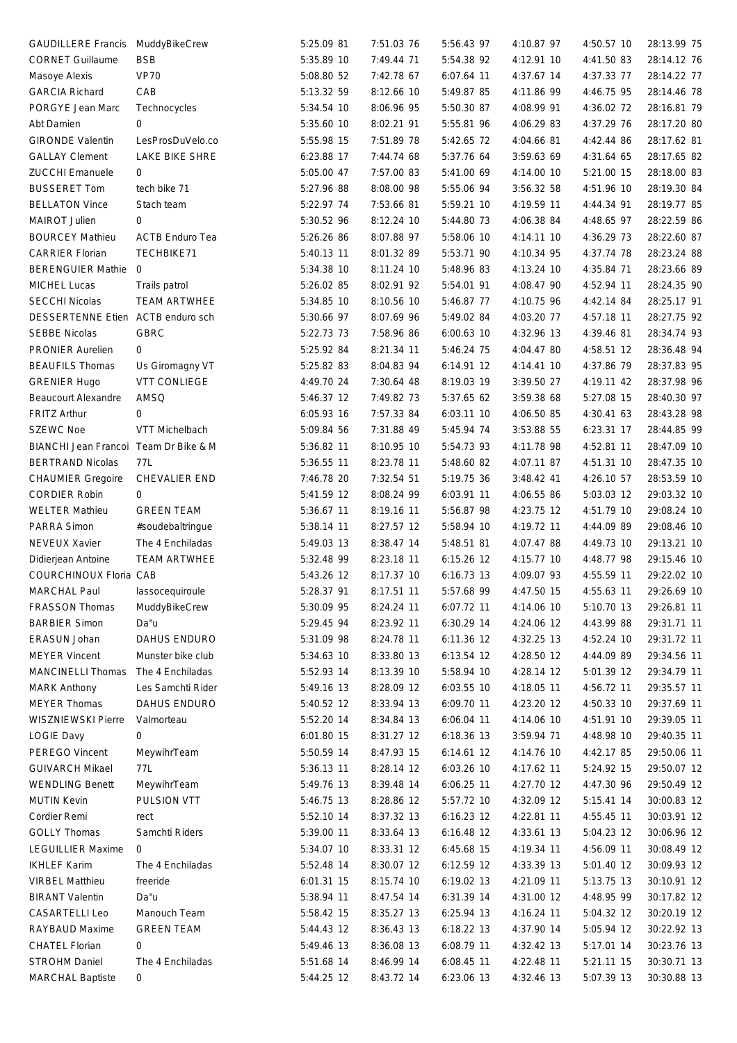| GAUDILLERE Francis MuddyBikeCrew      |                        | 5:25.09 81 | 7:51.03 76 | 5:56.43 97   | 4:10.87 97 | 4:50.57 10 | 28:13.99 75 |
|---------------------------------------|------------------------|------------|------------|--------------|------------|------------|-------------|
| <b>CORNET Guillaume</b>               | <b>BSB</b>             | 5:35.89 10 | 7:49.44 71 | 5:54.38 92   | 4:12.91 10 | 4:41.50 83 | 28:14.12 76 |
| Masoye Alexis                         | <b>VP70</b>            | 5:08.80 52 | 7:42.78 67 | 6:07.64 11   | 4:37.67 14 | 4:37.33 77 | 28:14.22 77 |
| <b>GARCIA Richard</b>                 | CAB                    | 5:13.32 59 | 8:12.66 10 | 5:49.87 85   | 4:11.86 99 | 4:46.75 95 | 28:14.46 78 |
| PORGYE Jean Marc                      |                        | 5:34.54 10 | 8:06.96 95 | 5:50.30 87   | 4:08.99 91 | 4:36.02 72 | 28:16.81 79 |
|                                       | Technocycles           | 5:35.60 10 | 8:02.21 91 | 5:55.81 96   | 4:06.29 83 |            |             |
| Abt Damien                            | 0                      |            |            |              |            | 4:37.29 76 | 28:17.20 80 |
| <b>GIRONDE Valentin</b>               | LesProsDuVelo.co       | 5:55.98 15 | 7:51.89 78 | 5:42.65 72   | 4:04.66 81 | 4:42.44 86 | 28:17.62 81 |
| <b>GALLAY Clement</b>                 | <b>LAKE BIKE SHRE</b>  | 6:23.88 17 | 7:44.74 68 | 5:37.76 64   | 3:59.63 69 | 4:31.64 65 | 28:17.65 82 |
| <b>ZUCCHI Emanuele</b>                | 0                      | 5:05.00 47 | 7:57.00 83 | 5:41.00 69   | 4:14.00 10 | 5:21.00 15 | 28:18.00 83 |
| <b>BUSSERET Tom</b>                   | tech bike 71           | 5:27.96 88 | 8:08.00 98 | 5:55.06 94   | 3:56.32 58 | 4:51.96 10 | 28:19.30 84 |
| <b>BELLATON Vince</b>                 | Stach team             | 5:22.97 74 | 7:53.66 81 | 5:59.21 10   | 4:19.59 11 | 4:44.34 91 | 28:19.77 85 |
| MAIROT Julien                         | 0                      | 5:30.52 96 | 8:12.24 10 | 5:44.80 73   | 4:06.38 84 | 4:48.65 97 | 28:22.59 86 |
| <b>BOURCEY Mathieu</b>                | <b>ACTB Enduro Tea</b> | 5:26.26 86 | 8:07.88 97 | 5:58.06 10   | 4:14.11 10 | 4:36.29 73 | 28:22.60 87 |
| <b>CARRIER Florian</b>                | TECHBIKE71             | 5:40.13 11 | 8:01.32 89 | 5:53.71 90   | 4:10.34 95 | 4:37.74 78 | 28:23.24 88 |
| BERENGUIER Mathie 0                   |                        | 5:34.38 10 | 8:11.24 10 | 5:48.96 83   | 4:13.24 10 | 4:35.84 71 | 28:23.66 89 |
| MICHEL Lucas                          | Trails patrol          | 5:26.02 85 | 8:02.91 92 | 5:54.01 91   | 4:08.47 90 | 4:52.94 11 | 28:24.35 90 |
| <b>SECCHI Nicolas</b>                 | <b>TEAM ARTWHEE</b>    | 5:34.85 10 | 8:10.56 10 | 5:46.87 77   | 4:10.75 96 | 4:42.14 84 | 28:25.17 91 |
| DESSERTENNE Etien ACTB enduro sch     |                        | 5:30.66 97 | 8:07.69 96 | 5:49.02 84   | 4:03.20 77 | 4:57.18 11 | 28:27.75 92 |
| <b>SEBBE Nicolas</b>                  | <b>GBRC</b>            | 5:22.73 73 | 7:58.96 86 | 6:00.63 10   | 4:32.96 13 | 4:39.46 81 | 28:34.74 93 |
| PRONIER Aurelien                      | 0                      | 5:25.92 84 | 8:21.34 11 | 5:46.24 75   | 4:04.47 80 | 4:58.51 12 | 28:36.48 94 |
| <b>BEAUFILS Thomas</b>                | Us Giromagny VT        | 5:25.82 83 | 8:04.83 94 | 6:14.91 12   | 4:14.41 10 | 4:37.86 79 | 28:37.83 95 |
| <b>GRENIER Hugo</b>                   | <b>VTT CONLIEGE</b>    | 4:49.70 24 | 7:30.64 48 | 8:19.03 19   | 3:39.50 27 | 4:19.11 42 | 28:37.98 96 |
| <b>Beaucourt Alexandre</b>            | AMSQ                   | 5:46.37 12 | 7:49.82 73 | 5:37.65 62   | 3:59.38 68 | 5:27.08 15 | 28:40.30 97 |
| <b>FRITZ Arthur</b>                   | 0                      | 6:05.93 16 | 7:57.33 84 | 6:03.11 10   | 4:06.50 85 | 4:30.41 63 | 28:43.28 98 |
| <b>SZEWC Noe</b>                      | VTT Michelbach         | 5:09.84 56 | 7:31.88 49 | 5:45.94 74   | 3:53.88 55 | 6:23.31 17 | 28:44.85 99 |
|                                       |                        |            |            |              |            |            |             |
| BIANCHI Jean Francoi Team Dr Bike & M |                        | 5:36.82 11 | 8:10.95 10 | 5:54.73 93   | 4:11.78 98 | 4:52.81 11 | 28:47.09 10 |
| <b>BERTRAND Nicolas</b>               | 77L                    | 5:36.55 11 | 8:23.78 11 | 5:48.60 82   | 4:07.11 87 | 4:51.31 10 | 28:47.35 10 |
| <b>CHAUMIER Gregoire</b>              | CHEVALIER END          | 7:46.78 20 | 7:32.54 51 | 5:19.75 36   | 3:48.42 41 | 4:26.10 57 | 28:53.59 10 |
| <b>CORDIER Robin</b>                  | 0                      | 5:41.59 12 | 8:08.24 99 | 6:03.91 11   | 4:06.55 86 | 5:03.03 12 | 29:03.32 10 |
| <b>WELTER Mathieu</b>                 | <b>GREEN TEAM</b>      | 5:36.67 11 | 8:19.16 11 | 5:56.87 98   | 4:23.75 12 | 4:51.79 10 | 29:08.24 10 |
| PARRA Simon                           | #soudebaltringue       | 5:38.14 11 | 8:27.57 12 | 5:58.94 10   | 4:19.72 11 | 4:44.09 89 | 29:08.46 10 |
| NEVEUX Xavier                         | The 4 Enchiladas       | 5:49.03 13 | 8:38.47 14 | 5:48.51 81   | 4:07.47 88 | 4:49.73 10 | 29:13.21 10 |
| Didierjean Antoine                    | <b>TEAM ARTWHEE</b>    | 5:32.48 99 | 8:23.18 11 | 6:15.26 12   | 4:15.77 10 | 4:48.77 98 | 29:15.46 10 |
| COURCHINOUX Floria CAB                |                        | 5:43.26 12 | 8:17.37 10 | 6:16.73 13   | 4:09.07 93 | 4:55.59 11 | 29:22.02 10 |
| MARCHAL Paul                          | lassocequiroule        | 5:28.37 91 | 8:17.51 11 | 5:57.68 99   | 4:47.50 15 | 4:55.63 11 | 29:26.69 10 |
| <b>FRASSON Thomas</b>                 | MuddyBikeCrew          | 5:30.09 95 | 8:24.24 11 | 6:07.72 11   | 4:14.06 10 | 5:10.70 13 | 29:26.81 11 |
| <b>BARBIER Simon</b>                  | Da"u                   | 5:29.45 94 | 8:23.92 11 | 6:30.29 14   | 4:24.06 12 | 4:43.99 88 | 29:31.71 11 |
| ERASUN Johan                          | DAHUS ENDURO           | 5:31.09 98 | 8:24.78 11 | 6:11.36 12   | 4:32.25 13 | 4:52.24 10 | 29:31.72 11 |
| <b>MEYER Vincent</b>                  | Munster bike club      | 5:34.63 10 | 8:33.80 13 | 6:13.54 12   | 4:28.50 12 | 4:44.09 89 | 29:34.56 11 |
| MANCINELLI Thomas                     | The 4 Enchiladas       | 5:52.93 14 | 8:13.39 10 | 5:58.94 10   | 4:28.14 12 | 5:01.39 12 | 29:34.79 11 |
| <b>MARK Anthony</b>                   | Les Samchti Rider      | 5:49.16 13 | 8:28.09 12 | 6:03.55 10   | 4:18.05 11 | 4:56.72 11 | 29:35.57 11 |
| <b>MEYER Thomas</b>                   | <b>DAHUS ENDURO</b>    | 5:40.52 12 | 8:33.94 13 | 6:09.70 11   | 4:23.20 12 | 4:50.33 10 | 29:37.69 11 |
| WISZNIEWSKI Pierre                    | Valmorteau             | 5:52.20 14 | 8:34.84 13 | 6:06.04 11   | 4:14.06 10 | 4:51.91 10 | 29:39.05 11 |
| <b>LOGIE Davy</b>                     | 0                      | 6:01.80 15 | 8:31.27 12 | 6:18.36 13   | 3:59.94 71 | 4:48.98 10 | 29:40.35 11 |
| PEREGO Vincent                        | MeywihrTeam            | 5:50.59 14 | 8:47.93 15 | 6:14.61 12   | 4:14.76 10 | 4:42.17 85 | 29:50.06 11 |
| <b>GUIVARCH Mikael</b>                | 77L                    | 5:36.13 11 | 8:28.14 12 | 6:03.26 10   | 4:17.62 11 | 5:24.92 15 | 29:50.07 12 |
| <b>WENDLING Benett</b>                | MeywihrTeam            | 5:49.76 13 | 8:39.48 14 | $6:06.25$ 11 | 4:27.70 12 | 4:47.30 96 | 29:50.49 12 |
| <b>MUTIN Kevin</b>                    | PULSION VTT            | 5:46.75 13 | 8:28.86 12 | 5:57.72 10   | 4:32.09 12 | 5:15.41 14 | 30:00.83 12 |
| Cordier Remi                          |                        |            |            |              |            |            |             |
|                                       | rect                   | 5:52.10 14 | 8:37.32 13 | 6:16.23 12   | 4:22.81 11 | 4:55.45 11 | 30:03.91 12 |
| <b>GOLLY Thomas</b>                   | Samchti Riders         | 5:39.00 11 | 8:33.64 13 | 6:16.48 12   | 4:33.61 13 | 5:04.23 12 | 30:06.96 12 |
| <b>LEGUILLIER Maxime</b>              | $\mathbf 0$            | 5:34.07 10 | 8:33.31 12 | 6:45.68 15   | 4:19.34 11 | 4:56.09 11 | 30:08.49 12 |
| <b>IKHLEF Karim</b>                   | The 4 Enchiladas       | 5:52.48 14 | 8:30.07 12 | 6:12.59 12   | 4:33.39 13 | 5:01.40 12 | 30:09.93 12 |
| <b>VIRBEL Matthieu</b>                | freeride               | 6:01.31 15 | 8:15.74 10 | 6:19.02 13   | 4:21.09 11 | 5:13.75 13 | 30:10.91 12 |
| <b>BIRANT Valentin</b>                | Da"u                   | 5:38.94 11 | 8:47.54 14 | 6:31.39 14   | 4:31.00 12 | 4:48.95 99 | 30:17.82 12 |
| CASARTELLI Leo                        | Manouch Team           | 5:58.42 15 | 8:35.27 13 | 6:25.94 13   | 4:16.24 11 | 5:04.32 12 | 30:20.19 12 |
| RAYBAUD Maxime                        | <b>GREEN TEAM</b>      | 5:44.43 12 | 8:36.43 13 | 6:18.22 13   | 4:37.90 14 | 5:05.94 12 | 30:22.92 13 |
| <b>CHATEL Florian</b>                 | 0                      | 5:49.46 13 | 8:36.08 13 | 6:08.79 11   | 4:32.42 13 | 5:17.01 14 | 30:23.76 13 |
| <b>STROHM Daniel</b>                  | The 4 Enchiladas       | 5:51.68 14 | 8:46.99 14 | 6:08.45 11   | 4:22.48 11 | 5:21.11 15 | 30:30.71 13 |
| <b>MARCHAL Baptiste</b>               | 0                      | 5:44.25 12 | 8:43.72 14 | 6:23.06 13   | 4:32.46 13 | 5:07.39 13 | 30:30.88 13 |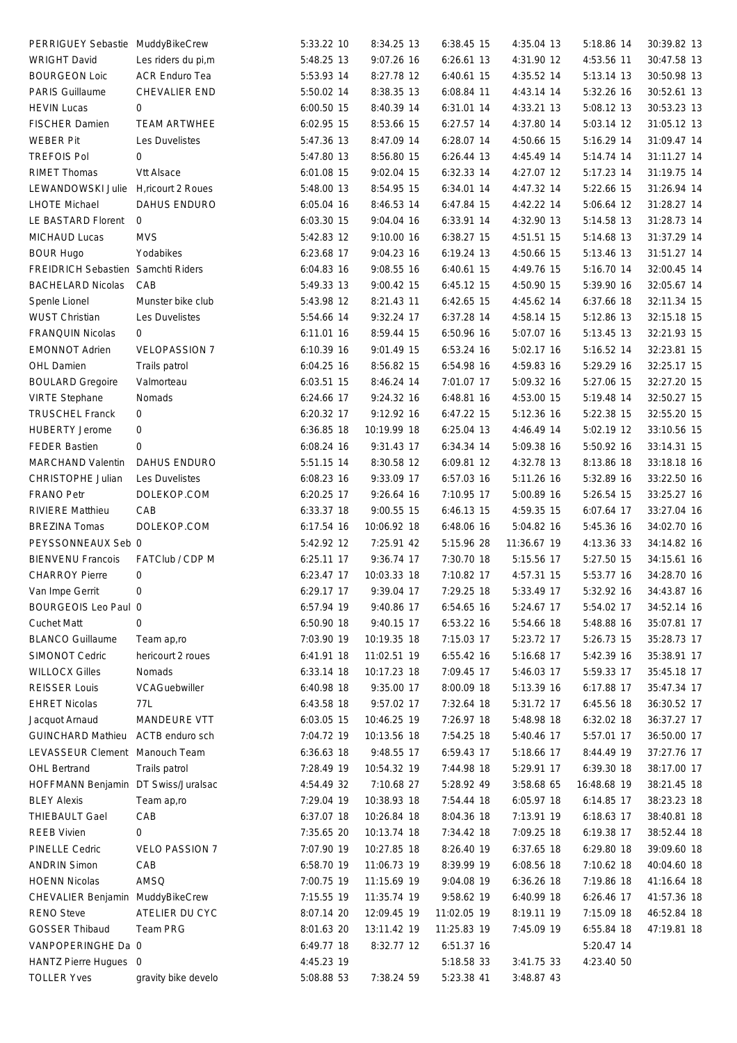| PERRIGUEY Sebastie MuddyBikeCrew    |                       | 5:33.22 10   | 8:34.25 13  | 6:38.45 15  | 4:35.04 13  | 5:18.86 14  | 30:39.82 13 |  |
|-------------------------------------|-----------------------|--------------|-------------|-------------|-------------|-------------|-------------|--|
| <b>WRIGHT David</b>                 | Les riders du pi,m    | 5:48.25 13   | 9:07.26 16  | 6:26.61 13  | 4:31.90 12  | 4:53.56 11  | 30:47.58 13 |  |
| <b>BOURGEON Loic</b>                | ACR Enduro Tea        | 5:53.93 14   | 8:27.78 12  | 6:40.61 15  | 4:35.52 14  | 5:13.14 13  | 30:50.98 13 |  |
| <b>PARIS Guillaume</b>              | CHEVALIER END         | 5:50.02 14   | 8:38.35 13  | 6:08.84 11  | 4:43.14 14  | 5:32.26 16  | 30:52.61 13 |  |
| <b>HEVIN Lucas</b>                  | 0                     | 6:00.50 15   | 8:40.39 14  | 6:31.01 14  | 4:33.21 13  | 5:08.12 13  | 30:53.23 13 |  |
| <b>FISCHER Damien</b>               | <b>TEAM ARTWHEE</b>   | 6:02.95 15   | 8:53.66 15  | 6:27.57 14  | 4:37.80 14  | 5:03.14 12  | 31:05.12 13 |  |
| <b>WEBER Pit</b>                    | Les Duvelistes        | 5:47.36 13   | 8:47.09 14  | 6:28.07 14  | 4:50.66 15  | 5:16.29 14  | 31:09.47 14 |  |
| <b>TREFOIS Pol</b>                  | 0                     | 5:47.80 13   | 8:56.80 15  | 6:26.44 13  | 4:45.49 14  | 5:14.74 14  | 31:11.27 14 |  |
| RIMET Thomas                        | Vtt Alsace            | 6:01.08 15   | 9:02.04 15  | 6:32.33 14  | 4:27.07 12  | 5:17.23 14  | 31:19.75 14 |  |
| LEWANDOWSKI Julie                   | H,ricourt 2 Roues     | 5:48.00 13   | 8:54.95 15  | 6:34.01 14  | 4:47.32 14  | 5:22.66 15  | 31:26.94 14 |  |
| <b>LHOTE Michael</b>                | DAHUS ENDURO          | 6:05.04 16   | 8:46.53 14  | 6:47.84 15  | 4:42.22 14  | 5:06.64 12  | 31:28.27 14 |  |
| LE BASTARD Florent                  | 0                     | 6:03.30 15   | 9:04.04 16  | 6:33.91 14  | 4:32.90 13  | 5:14.58 13  | 31:28.73 14 |  |
| MICHAUD Lucas                       | <b>MVS</b>            | 5:42.83 12   | 9:10.00 16  | 6:38.27 15  | 4:51.51 15  | 5:14.68 13  | 31:37.29 14 |  |
| <b>BOUR Hugo</b>                    | Yodabikes             | 6:23.68 17   | 9:04.23 16  | 6:19.24 13  | 4:50.66 15  | 5:13.46 13  | 31:51.27 14 |  |
| FREIDRICH Sebastien Samchti Riders  |                       | 6:04.83 16   | 9:08.55 16  | 6:40.61 15  | 4:49.76 15  | 5:16.70 14  | 32:00.45 14 |  |
| <b>BACHELARD Nicolas</b>            | CAB                   | 5:49.33 13   | 9:00.42 15  | 6:45.12 15  | 4:50.90 15  | 5:39.90 16  | 32:05.67 14 |  |
| Spenle Lionel                       | Munster bike club     | 5:43.98 12   | 8:21.43 11  | 6:42.65 15  | 4:45.62 14  | 6:37.66 18  | 32:11.34 15 |  |
| <b>WUST Christian</b>               | Les Duvelistes        | 5:54.66 14   | 9:32.24 17  | 6:37.28 14  | 4:58.14 15  | 5:12.86 13  | 32:15.18 15 |  |
| FRANQUIN Nicolas                    | 0                     | 6:11.01 16   | 8:59.44 15  | 6:50.96 16  | 5:07.07 16  | 5:13.45 13  | 32:21.93 15 |  |
| <b>EMONNOT Adrien</b>               | <b>VELOPASSION 7</b>  | 6:10.39 16   | 9:01.49 15  | 6:53.24 16  | 5:02.17 16  | 5:16.52 14  | 32:23.81 15 |  |
| OHL Damien                          | Trails patrol         | 6:04.25 16   | 8:56.82 15  | 6:54.98 16  | 4:59.83 16  | 5:29.29 16  | 32:25.17 15 |  |
|                                     | Valmorteau            | 6:03.51 15   |             | 7:01.07 17  | 5:09.32 16  | 5:27.06 15  | 32:27.20 15 |  |
| <b>BOULARD Gregoire</b>             |                       |              | 8:46.24 14  |             |             |             |             |  |
| <b>VIRTE Stephane</b>               | Nomads                | 6:24.66 17   | 9:24.32 16  | 6:48.81 16  | 4:53.00 15  | 5:19.48 14  | 32:50.27 15 |  |
| <b>TRUSCHEL Franck</b>              | 0                     | 6:20.32 17   | 9:12.92 16  | 6:47.22 15  | 5:12.36 16  | 5:22.38 15  | 32:55.20 15 |  |
| <b>HUBERTY Jerome</b>               | $\mathbf 0$           | 6:36.85 18   | 10:19.99 18 | 6:25.04 13  | 4:46.49 14  | 5:02.19 12  | 33:10.56 15 |  |
| <b>FEDER Bastien</b>                | 0                     | 6:08.24 16   | 9:31.43 17  | 6:34.34 14  | 5:09.38 16  | 5:50.92 16  | 33:14.31 15 |  |
| <b>MARCHAND Valentin</b>            | DAHUS ENDURO          | 5:51.15 14   | 8:30.58 12  | 6:09.81 12  | 4:32.78 13  | 8:13.86 18  | 33:18.18 16 |  |
| CHRISTOPHE Julian                   | Les Duvelistes        | 6:08.23 16   | 9:33.09 17  | 6:57.03 16  | 5:11.26 16  | 5:32.89 16  | 33:22.50 16 |  |
| FRANO Petr                          | DOLEKOP.COM           | 6:20.25 17   | 9:26.64 16  | 7:10.95 17  | 5:00.89 16  | 5:26.54 15  | 33:25.27 16 |  |
| <b>RIVIERE Matthieu</b>             | CAB                   | 6:33.37 18   | 9:00.55 15  | 6:46.13 15  | 4:59.35 15  | 6:07.64 17  | 33:27.04 16 |  |
| <b>BREZINA Tomas</b>                | DOLEKOP.COM           | 6:17.54 16   | 10:06.92 18 | 6:48.06 16  | 5:04.82 16  | 5:45.36 16  | 34:02.70 16 |  |
| PEYSSONNEAUX Seb 0                  |                       | 5:42.92 12   | 7:25.91 42  | 5:15.96 28  | 11:36.67 19 | 4:13.36 33  | 34:14.82 16 |  |
| <b>BIENVENU Francois</b>            | FATClub / CDP M       | 6:25.11 17   | 9:36.74 17  | 7:30.70 18  | 5:15.56 17  | 5:27.50 15  | 34:15.61 16 |  |
| <b>CHARROY Pierre</b>               | 0                     | 6:23.47 17   | 10:03.33 18 | 7:10.82 17  | 4:57.31 15  | 5:53.77 16  | 34:28.70 16 |  |
| Van Impe Gerrit                     | $\Omega$              | $6:29.17$ 17 | 9:39.04 17  | 7:29.25 18  | 5:33.49 17  | 5:32.92 16  | 34:43.87 16 |  |
| BOURGEOIS Leo Paul 0                |                       | 6:57.94 19   | 9:40.86 17  | 6:54.65 16  | 5:24.67 17  | 5:54.02 17  | 34:52.14 16 |  |
| <b>Cuchet Matt</b>                  | 0                     | 6:50.90 18   | 9:40.15 17  | 6:53.22 16  | 5:54.66 18  | 5:48.88 16  | 35:07.81 17 |  |
| <b>BLANCO Guillaume</b>             | Team ap,ro            | 7:03.90 19   | 10:19.35 18 | 7:15.03 17  | 5:23.72 17  | 5:26.73 15  | 35:28.73 17 |  |
| SIMONOT Cedric                      | hericourt 2 roues     | 6:41.91 18   | 11:02.51 19 | 6:55.42 16  | 5:16.68 17  | 5:42.39 16  | 35:38.91 17 |  |
| <b>WILLOCX Gilles</b>               | Nomads                | 6:33.14 18   | 10:17.23 18 | 7:09.45 17  | 5:46.03 17  | 5:59.33 17  | 35:45.18 17 |  |
| <b>REISSER Louis</b>                | VCAGuebwiller         | 6:40.98 18   | 9:35.00 17  | 8:00.09 18  | 5:13.39 16  | 6:17.88 17  | 35:47.34 17 |  |
| <b>EHRET Nicolas</b>                | 77L                   | 6:43.58 18   | 9:57.02 17  | 7:32.64 18  | 5:31.72 17  | 6:45.56 18  | 36:30.52 17 |  |
| Jacquot Arnaud                      | MANDEURE VTT          | 6:03.05 15   | 10:46.25 19 | 7:26.97 18  | 5:48.98 18  | 6:32.02 18  | 36:37.27 17 |  |
| GUINCHARD Mathieu ACTB enduro sch   |                       | 7:04.72 19   | 10:13.56 18 | 7:54.25 18  | 5:40.46 17  | 5:57.01 17  | 36:50.00 17 |  |
| LEVASSEUR Clement Manouch Team      |                       | 6:36.63 18   | 9:48.55 17  | 6:59.43 17  | 5:18.66 17  | 8:44.49 19  | 37:27.76 17 |  |
| <b>OHL Bertrand</b>                 | Trails patrol         | 7:28.49 19   | 10:54.32 19 | 7:44.98 18  | 5:29.91 17  | 6:39.30 18  | 38:17.00 17 |  |
| HOFFMANN Benjamin DT Swiss/Juralsac |                       | 4:54.49 32   | 7:10.68 27  | 5:28.92 49  | 3:58.68 65  | 16:48.68 19 | 38:21.45 18 |  |
| <b>BLEY Alexis</b>                  |                       | 7:29.04 19   | 10:38.93 18 | 7:54.44 18  | 6:05.97 18  | 6:14.85 17  | 38:23.23 18 |  |
| <b>THIEBAULT Gael</b>               | Team ap,ro<br>CAB     | 6:37.07 18   |             |             | 7:13.91 19  | 6:18.63 17  |             |  |
|                                     |                       |              | 10:26.84 18 | 8:04.36 18  |             |             | 38:40.81 18 |  |
| <b>REEB Vivien</b>                  | 0                     | 7:35.65 20   | 10:13.74 18 | 7:34.42 18  | 7:09.25 18  | 6:19.38 17  | 38:52.44 18 |  |
| <b>PINELLE Cedric</b>               | <b>VELO PASSION 7</b> | 7:07.90 19   | 10:27.85 18 | 8:26.40 19  | 6:37.65 18  | 6:29.80 18  | 39:09.60 18 |  |
| <b>ANDRIN Simon</b>                 | CAB                   | 6:58.70 19   | 11:06.73 19 | 8:39.99 19  | 6:08.56 18  | 7:10.62 18  | 40:04.60 18 |  |
| <b>HOENN Nicolas</b>                | AMSQ                  | 7:00.75 19   | 11:15.69 19 | 9:04.08 19  | 6:36.26 18  | 7:19.86 18  | 41:16.64 18 |  |
| CHEVALIER Benjamin MuddyBikeCrew    |                       | 7:15.55 19   | 11:35.74 19 | 9:58.62 19  | 6:40.99 18  | 6:26.46 17  | 41:57.36 18 |  |
| <b>RENO Steve</b>                   | ATELIER DU CYC        | 8:07.14 20   | 12:09.45 19 | 11:02.05 19 | 8:19.11 19  | 7:15.09 18  | 46:52.84 18 |  |
| <b>GOSSER Thibaud</b>               | Team PRG              | 8:01.63 20   | 13:11.42 19 | 11:25.83 19 | 7:45.09 19  | 6:55.84 18  | 47:19.81 18 |  |
| VANPOPERINGHE Da 0                  |                       | 6:49.77 18   | 8:32.77 12  | 6:51.37 16  |             | 5:20.47 14  |             |  |
| HANTZ Pierre Hugues 0               |                       | 4:45.23 19   |             | 5:18.58 33  | 3:41.75 33  | 4:23.40 50  |             |  |
| <b>TOLLER Yves</b>                  | gravity bike develo   | 5:08.88 53   | 7:38.24 59  | 5:23.38 41  | 3:48.87 43  |             |             |  |